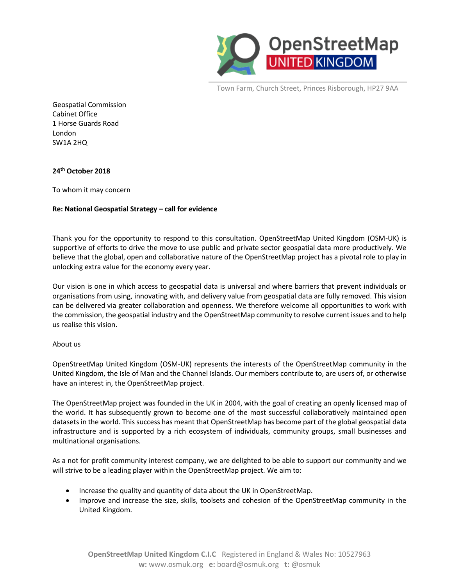

Town Farm, Church Street, Princes Risborough, HP27 9AA

Geospatial Commission Cabinet Office 1 Horse Guards Road London SW1A 2HQ

#### **24 th October 2018**

To whom it may concern

#### **Re: National Geospatial Strategy – call for evidence**

Thank you for the opportunity to respond to this consultation. OpenStreetMap United Kingdom (OSM-UK) is supportive of efforts to drive the move to use public and private sector geospatial data more productively. We believe that the global, open and collaborative nature of the OpenStreetMap project has a pivotal role to play in unlocking extra value for the economy every year.

Our vision is one in which access to geospatial data is universal and where barriers that prevent individuals or organisations from using, innovating with, and delivery value from geospatial data are fully removed. This vision can be delivered via greater collaboration and openness. We therefore welcome all opportunities to work with the commission, the geospatial industry and the OpenStreetMap community to resolve current issues and to help us realise this vision.

#### About us

OpenStreetMap United Kingdom (OSM-UK) represents the interests of the OpenStreetMap community in the United Kingdom, the Isle of Man and the Channel Islands. Our members contribute to, are users of, or otherwise have an interest in, the OpenStreetMap project.

The OpenStreetMap project was founded in the UK in 2004, with the goal of creating an openly licensed map of the world. It has subsequently grown to become one of the most successful collaboratively maintained open datasets in the world. This success has meant that OpenStreetMap has become part of the global geospatial data infrastructure and is supported by a rich ecosystem of individuals, community groups, small businesses and multinational organisations.

As a not for profit community interest company, we are delighted to be able to support our community and we will strive to be a leading player within the OpenStreetMap project. We aim to:

- Increase the quality and quantity of data about the UK in OpenStreetMap.
- Improve and increase the size, skills, toolsets and cohesion of the OpenStreetMap community in the United Kingdom.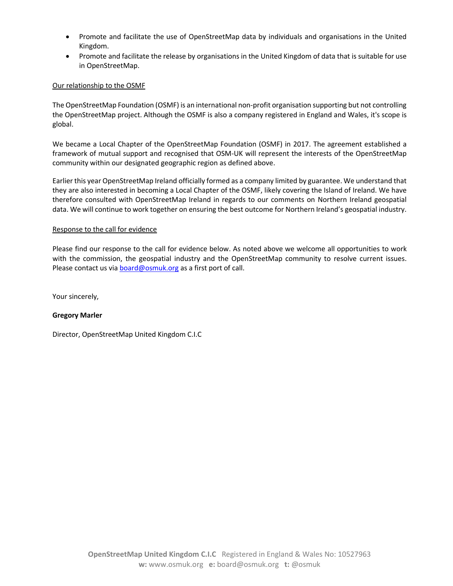- Promote and facilitate the use of OpenStreetMap data by individuals and organisations in the United Kingdom.
- Promote and facilitate the release by organisations in the United Kingdom of data that is suitable for use in OpenStreetMap.

#### Our relationship to the OSMF

The OpenStreetMap Foundation (OSMF) is an international non-profit organisation supporting but not controlling the OpenStreetMap project. Although the OSMF is also a company registered in England and Wales, it's scope is global.

We became a Local Chapter of the OpenStreetMap Foundation (OSMF) in 2017. The agreement established a framework of mutual support and recognised that OSM-UK will represent the interests of the OpenStreetMap community within our designated geographic region as defined above.

Earlier this year OpenStreetMap Ireland officially formed as a company limited by guarantee. We understand that they are also interested in becoming a Local Chapter of the OSMF, likely covering the Island of Ireland. We have therefore consulted with OpenStreetMap Ireland in regards to our comments on Northern Ireland geospatial data. We will continue to work together on ensuring the best outcome for Northern Ireland's geospatial industry.

#### Response to the call for evidence

Please find our response to the call for evidence below. As noted above we welcome all opportunities to work with the commission, the geospatial industry and the OpenStreetMap community to resolve current issues. Please contact us vi[a board@osmuk.org](mailto:board@osmuk.org) as a first port of call.

Your sincerely,

#### **Gregory Marler**

Director, OpenStreetMap United Kingdom C.I.C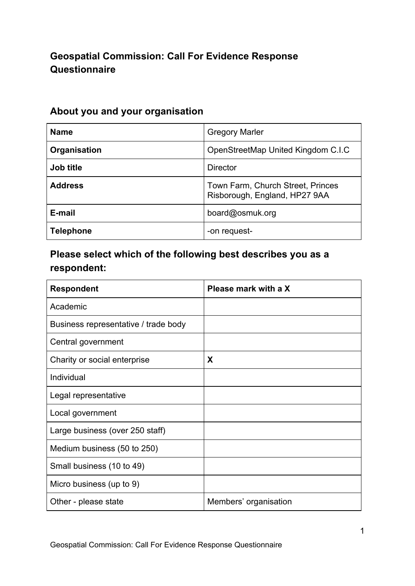# **Geospatial Commission: Call For Evidence Response Questionnaire**

| <b>Name</b>      | <b>Gregory Marler</b>                                              |
|------------------|--------------------------------------------------------------------|
| Organisation     | OpenStreetMap United Kingdom C.I.C                                 |
| Job title        | <b>Director</b>                                                    |
| <b>Address</b>   | Town Farm, Church Street, Princes<br>Risborough, England, HP27 9AA |
| E-mail           | board@osmuk.org                                                    |
| <b>Telephone</b> | -on request-                                                       |

## **About you and your organisation**

# **Please select which of the following best describes you as a respondent:**

| <b>Respondent</b>                    | Please mark with a X  |
|--------------------------------------|-----------------------|
| Academic                             |                       |
| Business representative / trade body |                       |
| Central government                   |                       |
| Charity or social enterprise         | X                     |
| Individual                           |                       |
| Legal representative                 |                       |
| Local government                     |                       |
| Large business (over 250 staff)      |                       |
| Medium business (50 to 250)          |                       |
| Small business (10 to 49)            |                       |
| Micro business (up to 9)             |                       |
| Other - please state                 | Members' organisation |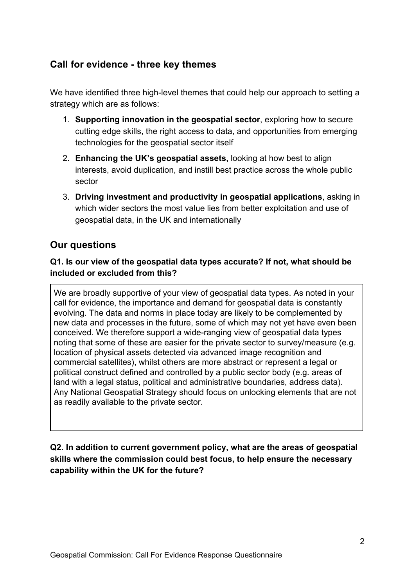## **Call for evidence - three key themes**

We have identified three high-level themes that could help our approach to setting a strategy which are as follows:

- 1. **Supporting innovation in the geospatial sector**, exploring how to secure cutting edge skills, the right access to data, and opportunities from emerging technologies for the geospatial sector itself
- 2. **Enhancing the UK's geospatial assets,** looking at how best to align interests, avoid duplication, and instill best practice across the whole public sector
- 3. **Driving investment and productivity in geospatial applications**, asking in which wider sectors the most value lies from better exploitation and use of geospatial data, in the UK and internationally

## **Our questions**

### **Q1. Is our view of the geospatial data types accurate? If not, what should be included or excluded from this?**

We are broadly supportive of your view of geospatial data types. As noted in your call for evidence, the importance and demand for geospatial data is constantly evolving. The data and norms in place today are likely to be complemented by new data and processes in the future, some of which may not yet have even been conceived. We therefore support a wide-ranging view of geospatial data types noting that some of these are easier for the private sector to survey/measure (e.g. location of physical assets detected via advanced image recognition and commercial satellites), whilst others are more abstract or represent a legal or political construct defined and controlled by a public sector body (e.g. areas of land with a legal status, political and administrative boundaries, address data). Any National Geospatial Strategy should focus on unlocking elements that are not as readily available to the private sector.

### **Q2. In addition to current government policy, what are the areas of geospatial skills where the commission could best focus, to help ensure the necessary capability within the UK for the future?**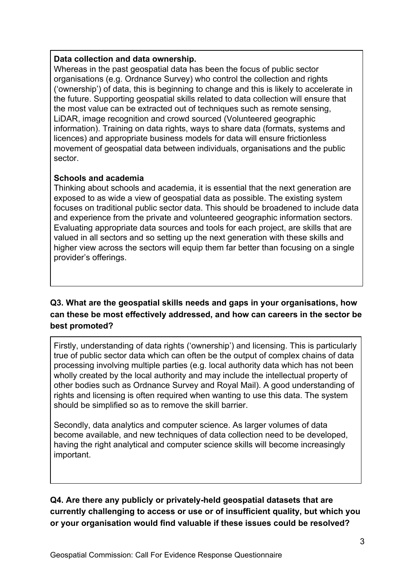#### **Data collection and data ownership.**

Whereas in the past geospatial data has been the focus of public sector organisations (e.g. Ordnance Survey) who control the collection and rights ('ownership') of data, this is beginning to change and this is likely to accelerate in the future. Supporting geospatial skills related to data collection will ensure that the most value can be extracted out of techniques such as remote sensing, LiDAR, image recognition and crowd sourced (Volunteered geographic information). Training on data rights, ways to share data (formats, systems and licences) and appropriate business models for data will ensure frictionless movement of geospatial data between individuals, organisations and the public sector.

#### **Schools and academia**

Thinking about schools and academia, it is essential that the next generation are exposed to as wide a view of geospatial data as possible. The existing system focuses on traditional public sector data. This should be broadened to include data and experience from the private and volunteered geographic information sectors. Evaluating appropriate data sources and tools for each project, are skills that are valued in all sectors and so setting up the next generation with these skills and higher view across the sectors will equip them far better than focusing on a single provider's offerings.

## **Q3. What are the geospatial skills needs and gaps in your organisations, how can these be most effectively addressed, and how can careers in the sector be best promoted?**

Firstly, understanding of data rights ('ownership') and licensing. This is particularly true of public sector data which can often be the output of complex chains of data processing involving multiple parties (e.g. local authority data which has not been wholly created by the local authority and may include the intellectual property of other bodies such as Ordnance Survey and Royal Mail). A good understanding of rights and licensing is often required when wanting to use this data. The system should be simplified so as to remove the skill barrier.

Secondly, data analytics and computer science. As larger volumes of data become available, and new techniques of data collection need to be developed, having the right analytical and computer science skills will become increasingly important.

**Q4. Are there any publicly or privately-held geospatial datasets that are currently challenging to access or use or of insufficient quality, but which you or your organisation would find valuable if these issues could be resolved?**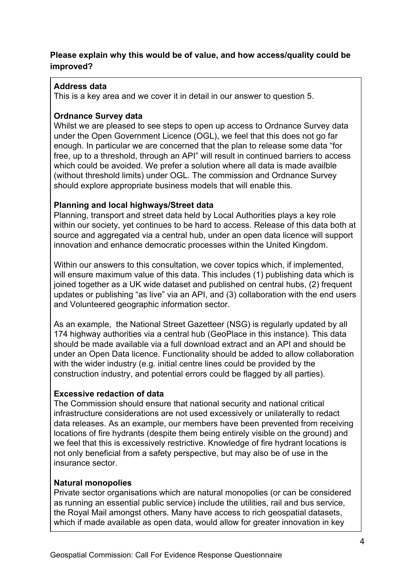#### **Please explain why this would be of value, and how access/quality could be improved?**

### **Address data**

This is a key area and we cover it in detail in our answer to question 5.

### **Ordnance Survey data**

Whilst we are pleased to see steps to open up access to Ordnance Survey data under the Open Government Licence (OGL), we feel that this does not go far enough. In particular we are concerned that the plan to release some data "for free, up to a threshold, through an API" will result in continued barriers to access which could be avoided. We prefer a solution where all data is made availble (without threshold limits) under OGL. The commission and Ordnance Survey should explore appropriate business models that will enable this.

### **Planning and local highways/Street data**

Planning, transport and street data held by Local Authorities plays a key role within our society, yet continues to be hard to access. Release of this data both at source and aggregated via a central hub, under an open data licence will support innovation and enhance democratic processes within the United Kingdom.

Within our answers to this consultation, we cover topics which, if implemented, will ensure maximum value of this data. This includes (1) publishing data which is joined together as a UK wide dataset and published on central hubs, (2) frequent updates or publishing "as live" via an API, and (3) collaboration with the end users and Volunteered geographic information sector.

As an example, the National Street Gazetteer (NSG) is regularly updated by all 174 highway authorities via a central hub (GeoPlace in this instance). This data should be made available via a full download extract and an API and should be under an Open Data licence. Functionality should be added to allow collaboration with the wider industry (e.g. initial centre lines could be provided by the construction industry, and potential errors could be flagged by all parties).

#### **Excessive redaction of data**

The Commission should ensure that national security and national critical infrastructure considerations are not used excessively or unilaterally to redact data releases. As an example, our members have been prevented from receiving locations of fire hydrants (despite them being entirely visible on the ground) and we feel that this is excessively restrictive. Knowledge of fire hydrant locations is not only beneficial from a safety perspective, but may also be of use in the insurance sector.

#### **Natural monopolies**

Private sector organisations which are natural monopolies (or can be considered as running an essential public service) include the utilities, rail and bus service, the Royal Mail amongst others. Many have access to rich geospatial datasets, which if made available as open data, would allow for greater innovation in key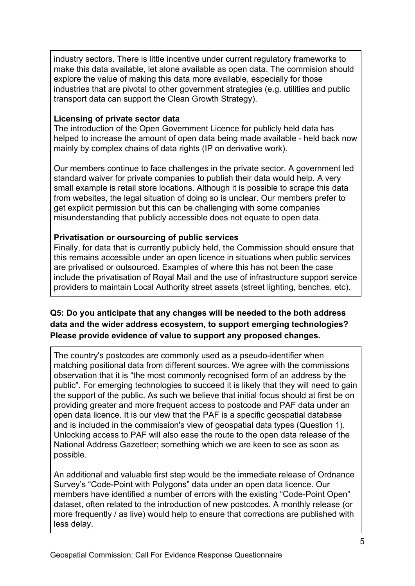industry sectors. There is little incentive under current regulatory frameworks to make this data available, let alone available as open data. The commision should explore the value of making this data more available, especially for those industries that are pivotal to other government strategies (e.g. utilities and public transport data can support the Clean Growth Strategy).

#### **Licensing of private sector data**

The introduction of the Open Government Licence for publicly held data has helped to increase the amount of open data being made available - held back now mainly by complex chains of data rights (IP on derivative work).

Our members continue to face challenges in the private sector. A government led standard waiver for private companies to publish their data would help. A very small example is retail store locations. Although it is possible to scrape this data from websites, the legal situation of doing so is unclear. Our members prefer to get explicit permission but this can be challenging with some companies misunderstanding that publicly accessible does not equate to open data.

#### **Privatisation or oursourcing of public services**

Finally, for data that is currently publicly held, the Commission should ensure that this remains accessible under an open licence in situations when public services are privatised or outsourced. Examples of where this has not been the case include the privatisation of Royal Mail and the use of infrastructure support service providers to maintain Local Authority street assets (street lighting, benches, etc).

### **Q5: Do you anticipate that any changes will be needed to the both address data and the wider address ecosystem, to support emerging technologies? Please provide evidence of value to support any proposed changes.**

The country's postcodes are commonly used as a pseudo-identifier when matching positional data from different sources. We agree with the commissions observation that it is "the most commonly recognised form of an address by the public". For emerging technologies to succeed it is likely that they will need to gain the support of the public. As such we believe that initial focus should at first be on providing greater and more frequent access to postcode and PAF data under an open data licence. It is our view that the PAF is a specific geospatial database and is included in the commission's view of geospatial data types (Question 1). Unlocking access to PAF will also ease the route to the open data release of the National Address Gazetteer; something which we are keen to see as soon as possible.

An additional and valuable first step would be the immediate release of Ordnance Survey's "Code-Point with Polygons" data under an open data licence. Our members have identified a number of errors with the existing "Code-Point Open" dataset, often related to the introduction of new postcodes. A monthly release (or more frequently / as live) would help to ensure that corrections are published with less delay.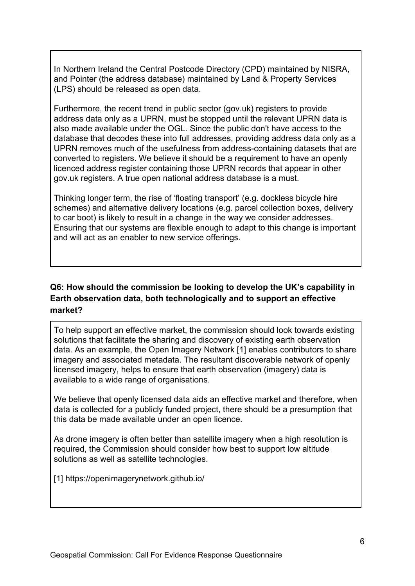In Northern Ireland the Central Postcode Directory (CPD) maintained by NISRA, and Pointer (the address database) maintained by Land & Property Services (LPS) should be released as open data.

Furthermore, the recent trend in public sector (gov.uk) registers to provide address data only as a UPRN, must be stopped until the relevant UPRN data is also made available under the OGL. Since the public don't have access to the database that decodes these into full addresses, providing address data only as a UPRN removes much of the usefulness from address-containing datasets that are converted to registers. We believe it should be a requirement to have an openly licenced address register containing those UPRN records that appear in other gov.uk registers. A true open national address database is a must.

Thinking longer term, the rise of 'floating transport' (e.g. dockless bicycle hire schemes) and alternative delivery locations (e.g. parcel collection boxes, delivery to car boot) is likely to result in a change in the way we consider addresses. Ensuring that our systems are flexible enough to adapt to this change is important and will act as an enabler to new service offerings.

### **Q6: How should the commission be looking to develop the UK's capability in Earth observation data, both technologically and to support an effective market?**

To help support an effective market, the commission should look towards existing solutions that facilitate the sharing and discovery of existing earth observation data. As an example, the Open Imagery Network [1] enables contributors to share imagery and associated metadata. The resultant discoverable network of openly licensed imagery, helps to ensure that earth observation (imagery) data is available to a wide range of organisations.

We believe that openly licensed data aids an effective market and therefore, when data is collected for a publicly funded project, there should be a presumption that this data be made available under an open licence.

As drone imagery is often better than satellite imagery when a high resolution is required, the Commission should consider how best to support low altitude solutions as well as satellite technologies.

[1] https://openimagerynetwork.github.io/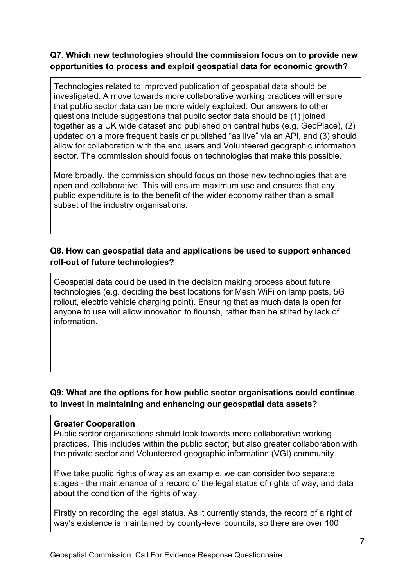### **Q7. Which new technologies should the commission focus on to provide new opportunities to process and exploit geospatial data for economic growth?**

Technologies related to improved publication of geospatial data should be investigated. A move towards more collaborative working practices will ensure that public sector data can be more widely exploited. Our answers to other questions include suggestions that public sector data should be (1) joined together as a UK wide dataset and published on central hubs (e.g. GeoPlace), (2) updated on a more frequent basis or published "as live" via an API, and (3) should allow for collaboration with the end users and Volunteered geographic information sector. The commission should focus on technologies that make this possible.

More broadly, the commission should focus on those new technologies that are open and collaborative. This will ensure maximum use and ensures that any public expenditure is to the benefit of the wider economy rather than a small subset of the industry organisations.

### **Q8. How can geospatial data and applications be used to support enhanced roll-out of future technologies?**

Geospatial data could be used in the decision making process about future technologies (e.g. deciding the best locations for Mesh WiFi on lamp posts, 5G rollout, electric vehicle charging point). Ensuring that as much data is open for anyone to use will allow innovation to flourish, rather than be stilted by lack of information.

### **Q9: What are the options for how public sector organisations could continue to invest in maintaining and enhancing our geospatial data assets?**

#### **Greater Cooperation**

Public sector organisations should look towards more collaborative working practices. This includes within the public sector, but also greater collaboration with the private sector and Volunteered geographic information (VGI) community.

If we take public rights of way as an example, we can consider two separate stages - the maintenance of a record of the legal status of rights of way, and data about the condition of the rights of way.

Firstly on recording the legal status. As it currently stands, the record of a right of way's existence is maintained by county-level councils, so there are over 100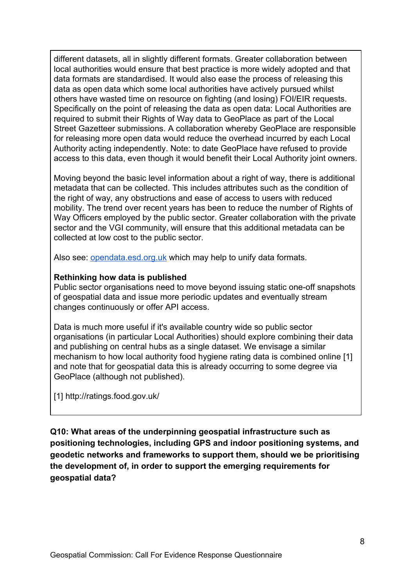different datasets, all in slightly different formats. Greater collaboration between local authorities would ensure that best practice is more widely adopted and that data formats are standardised. It would also ease the process of releasing this data as open data which some local authorities have actively pursued whilst others have wasted time on resource on fighting (and losing) FOI/EIR requests. Specifically on the point of releasing the data as open data: Local Authorities are required to submit their Rights of Way data to GeoPlace as part of the Local Street Gazetteer submissions. A collaboration whereby GeoPlace are responsible for releasing more open data would reduce the overhead incurred by each Local Authority acting independently. Note: to date GeoPlace have refused to provide access to this data, even though it would benefit their Local Authority joint owners.

Moving beyond the basic level information about a right of way, there is additional metadata that can be collected. This includes attributes such as the condition of the right of way, any obstructions and ease of access to users with reduced mobility. The trend over recent years has been to reduce the number of Rights of Way Officers employed by the public sector. Greater collaboration with the private sector and the VGI community, will ensure that this additional metadata can be collected at low cost to the public sector.

Also see: [opendata.esd.org.uk](http://opendata.esd.org.uk/) which may help to unify data formats.

#### **Rethinking how data is published**

Public sector organisations need to move beyond issuing static one-off snapshots of geospatial data and issue more periodic updates and eventually stream changes continuously or offer API access.

Data is much more useful if it's available country wide so public sector organisations (in particular Local Authorities) should explore combining their data and publishing on central hubs as a single dataset. We envisage a similar mechanism to how local authority food hygiene rating data is combined online [1] and note that for geospatial data this is already occurring to some degree via GeoPlace (although not published).

[1] http://ratings.food.gov.uk/

**Q10: What areas of the underpinning geospatial infrastructure such as positioning technologies, including GPS and indoor positioning systems, and geodetic networks and frameworks to support them, should we be prioritising the development of, in order to support the emerging requirements for geospatial data?**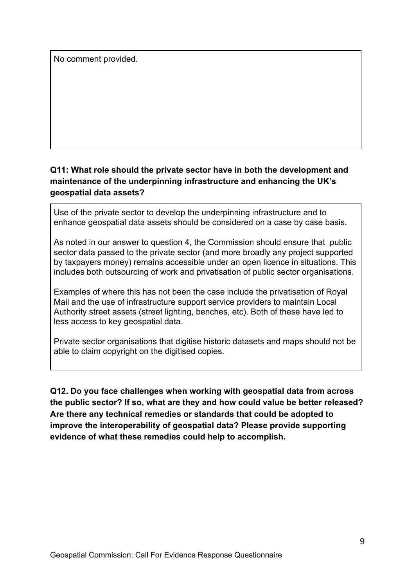No comment provided.

## **Q11: What role should the private sector have in both the development and maintenance of the underpinning infrastructure and enhancing the UK's geospatial data assets?**

Use of the private sector to develop the underpinning infrastructure and to enhance geospatial data assets should be considered on a case by case basis.

As noted in our answer to question 4, the Commission should ensure that public sector data passed to the private sector (and more broadly any project supported by taxpayers money) remains accessible under an open licence in situations. This includes both outsourcing of work and privatisation of public sector organisations.

Examples of where this has not been the case include the privatisation of Royal Mail and the use of infrastructure support service providers to maintain Local Authority street assets (street lighting, benches, etc). Both of these have led to less access to key geospatial data.

Private sector organisations that digitise historic datasets and maps should not be able to claim copyright on the digitised copies.

**Q12. Do you face challenges when working with geospatial data from across the public sector? If so, what are they and how could value be better released? Are there any technical remedies or standards that could be adopted to improve the interoperability of geospatial data? Please provide supporting evidence of what these remedies could help to accomplish.**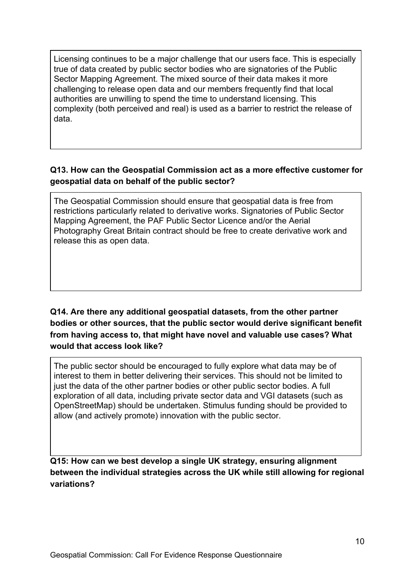Licensing continues to be a major challenge that our users face. This is especially true of data created by public sector bodies who are signatories of the Public Sector Mapping Agreement. The mixed source of their data makes it more challenging to release open data and our members frequently find that local authorities are unwilling to spend the time to understand licensing. This complexity (both perceived and real) is used as a barrier to restrict the release of data.

## **Q13. How can the Geospatial Commission act as a more effective customer for geospatial data on behalf of the public sector?**

The Geospatial Commission should ensure that geospatial data is free from restrictions particularly related to derivative works. Signatories of Public Sector Mapping Agreement, the PAF Public Sector Licence and/or the Aerial Photography Great Britain contract should be free to create derivative work and release this as open data.

**Q14. Are there any additional geospatial datasets, from the other partner bodies or other sources, that the public sector would derive significant benefit from having access to, that might have novel and valuable use cases? What would that access look like?**

The public sector should be encouraged to fully explore what data may be of interest to them in better delivering their services. This should not be limited to just the data of the other partner bodies or other public sector bodies. A full exploration of all data, including private sector data and VGI datasets (such as OpenStreetMap) should be undertaken. Stimulus funding should be provided to allow (and actively promote) innovation with the public sector.

**Q15: How can we best develop a single UK strategy, ensuring alignment between the individual strategies across the UK while still allowing for regional variations?**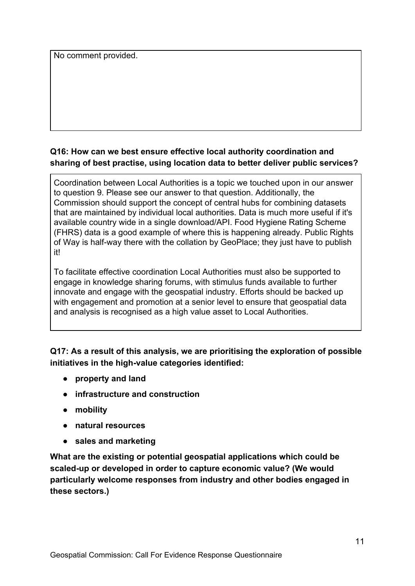No comment provided.

### **Q16: How can we best ensure effective local authority coordination and sharing of best practise, using location data to better deliver public services?**

Coordination between Local Authorities is a topic we touched upon in our answer to question 9. Please see our answer to that question. Additionally, the Commission should support the concept of central hubs for combining datasets that are maintained by individual local authorities. Data is much more useful if it's available country wide in a single download/API. Food Hygiene Rating Scheme (FHRS) data is a good example of where this is happening already. Public Rights of Way is half-way there with the collation by GeoPlace; they just have to publish it!

To facilitate effective coordination Local Authorities must also be supported to engage in knowledge sharing forums, with stimulus funds available to further innovate and engage with the geospatial industry. Efforts should be backed up with engagement and promotion at a senior level to ensure that geospatial data and analysis is recognised as a high value asset to Local Authorities.

### **Q17: As a result of this analysis, we are prioritising the exploration of possible initiatives in the high-value categories identified:**

- **property and land**
- **infrastructure and construction**
- **mobility**
- **natural resources**
- **sales and marketing**

**What are the existing or potential geospatial applications which could be scaled-up or developed in order to capture economic value? (We would particularly welcome responses from industry and other bodies engaged in these sectors.)**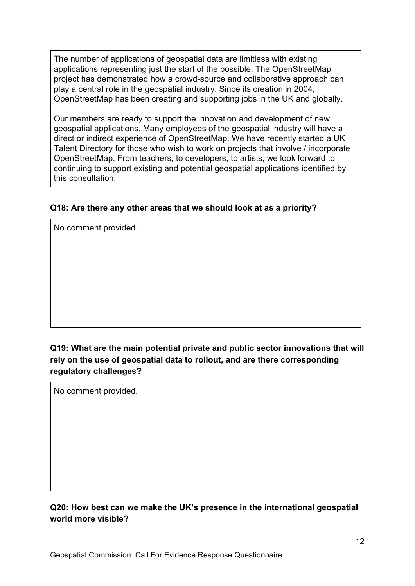The number of applications of geospatial data are limitless with existing applications representing just the start of the possible. The OpenStreetMap project has demonstrated how a crowd-source and collaborative approach can play a central role in the geospatial industry. Since its creation in 2004, OpenStreetMap has been creating and supporting jobs in the UK and globally.

Our members are ready to support the innovation and development of new geospatial applications. Many employees of the geospatial industry will have a direct or indirect experience of OpenStreetMap. We have recently started a UK Talent Directory for those who wish to work on projects that involve / incorporate OpenStreetMap. From teachers, to developers, to artists, we look forward to continuing to support existing and potential geospatial applications identified by this consultation.

#### **Q18: Are there any other areas that we should look at as a priority?**

No comment provided.

## **Q19: What are the main potential private and public sector innovations that will rely on the use of geospatial data to rollout, and are there corresponding regulatory challenges?**

No comment provided.

### **Q20: How best can we make the UK's presence in the international geospatial world more visible?**